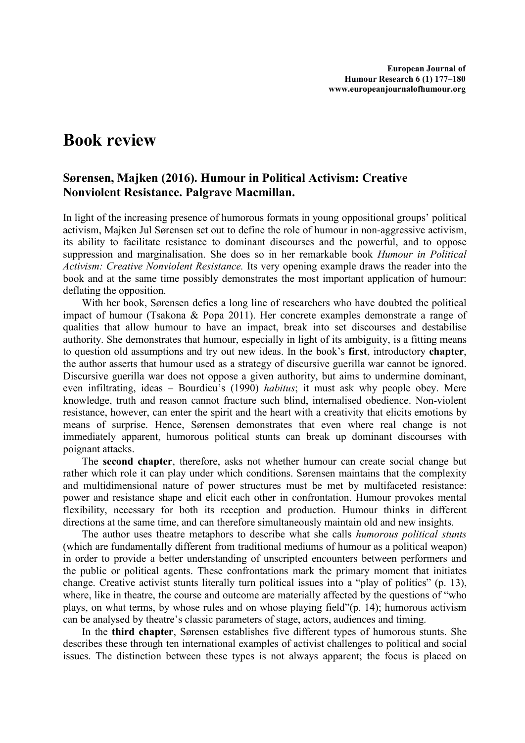## **Book review**

## **Sørensen, Majken (2016). Humour in Political Activism: Creative Nonviolent Resistance. Palgrave Macmillan.**

In light of the increasing presence of humorous formats in young oppositional groups' political activism, Majken Jul Sørensen set out to define the role of humour in non-aggressive activism, its ability to facilitate resistance to dominant discourses and the powerful, and to oppose suppression and marginalisation. She does so in her remarkable book *Humour in Political Activism: Creative Nonviolent Resistance.* Its very opening example draws the reader into the book and at the same time possibly demonstrates the most important application of humour: deflating the opposition.

With her book, Sørensen defies a long line of researchers who have doubted the political impact of humour (Tsakona & Popa 2011). Her concrete examples demonstrate a range of qualities that allow humour to have an impact, break into set discourses and destabilise authority. She demonstrates that humour, especially in light of its ambiguity, is a fitting means to question old assumptions and try out new ideas. In the book's **first**, introductory **chapter**, the author asserts that humour used as a strategy of discursive guerilla war cannot be ignored. Discursive guerilla war does not oppose a given authority, but aims to undermine dominant, even infiltrating, ideas – Bourdieu's (1990) *habitus*; it must ask why people obey. Mere knowledge, truth and reason cannot fracture such blind, internalised obedience. Non-violent resistance, however, can enter the spirit and the heart with a creativity that elicits emotions by means of surprise. Hence, Sørensen demonstrates that even where real change is not immediately apparent, humorous political stunts can break up dominant discourses with poignant attacks.

The **second chapter**, therefore, asks not whether humour can create social change but rather which role it can play under which conditions. Sørensen maintains that the complexity and multidimensional nature of power structures must be met by multifaceted resistance: power and resistance shape and elicit each other in confrontation. Humour provokes mental flexibility, necessary for both its reception and production. Humour thinks in different directions at the same time, and can therefore simultaneously maintain old and new insights.

The author uses theatre metaphors to describe what she calls *humorous political stunts* (which are fundamentally different from traditional mediums of humour as a political weapon) in order to provide a better understanding of unscripted encounters between performers and the public or political agents. These confrontations mark the primary moment that initiates change. Creative activist stunts literally turn political issues into a "play of politics" (p. 13), where, like in theatre, the course and outcome are materially affected by the questions of "who plays, on what terms, by whose rules and on whose playing field"(p. 14); humorous activism can be analysed by theatre's classic parameters of stage, actors, audiences and timing.

In the **third chapter**, Sørensen establishes five different types of humorous stunts. She describes these through ten international examples of activist challenges to political and social issues. The distinction between these types is not always apparent; the focus is placed on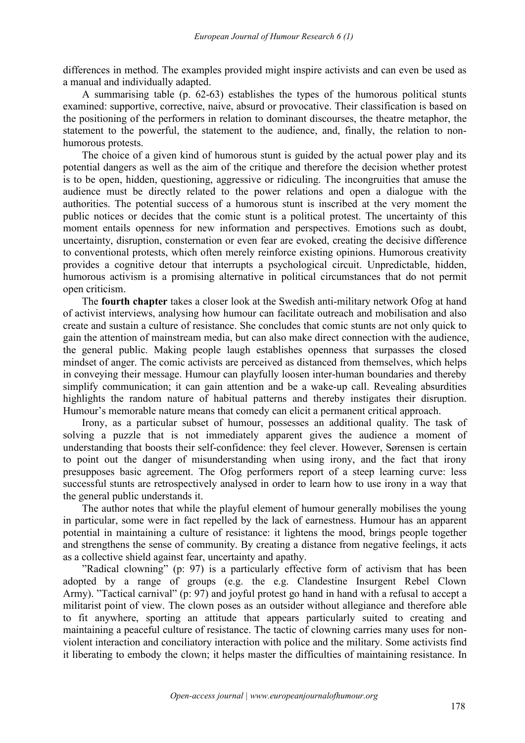differences in method. The examples provided might inspire activists and can even be used as a manual and individually adapted.

A summarising table (p. 62-63) establishes the types of the humorous political stunts examined: supportive, corrective, naive, absurd or provocative. Their classification is based on the positioning of the performers in relation to dominant discourses, the theatre metaphor, the statement to the powerful, the statement to the audience, and, finally, the relation to non humorous protests.

The choice of a given kind of humorous stunt is guided by the actual power play and its potential dangers as well as the aim of the critique and therefore the decision whether protest is to be open, hidden, questioning, aggressive or ridiculing. The incongruities that amuse the audience must be directly related to the power relations and open a dialogue with the authorities. The potential success of a humorous stunt is inscribed at the very moment the public notices or decides that the comic stunt is a political protest. The uncertainty of this moment entails openness for new information and perspectives. Emotions such as doubt, uncertainty, disruption, consternation or even fear are evoked, creating the decisive difference to conventional protests, which often merely reinforce existing opinions. Humorous creativity provides a cognitive detour that interrupts a psychological circuit. Unpredictable, hidden, humorous activism is a promising alternative in political circumstances that do not permit open criticism.

The **fourth chapter** takes a closer look at the Swedish anti-military network Ofog at hand of activist interviews, analysing how humour can facilitate outreach and mobilisation and also create and sustain a culture of resistance. She concludes that comic stunts are not only quick to gain the attention of mainstream media, but can also make direct connection with the audience, the general public. Making people laugh establishes openness that surpasses the closed mindset of anger. The comic activists are perceived as distanced from themselves, which helps in conveying their message. Humour can playfully loosen inter-human boundaries and thereby simplify communication; it can gain attention and be a wake-up call. Revealing absurdities highlights the random nature of habitual patterns and thereby instigates their disruption. Humour's memorable nature means that comedy can elicit a permanent critical approach.

Irony, as a particular subset of humour, possesses an additional quality. The task of solving a puzzle that is not immediately apparent gives the audience a moment of understanding that boosts their self-confidence: they feel clever. However, Sørensen is certain to point out the danger of misunderstanding when using irony, and the fact that irony presupposes basic agreement. The Ofog performers report of a steep learning curve: less successful stunts are retrospectively analysed in order to learn how to use irony in a way that the general public understands it.

The author notes that while the playful element of humour generally mobilises the young in particular, some were in fact repelled by the lack of earnestness. Humour has an apparent potential in maintaining a culture of resistance: it lightens the mood, brings people together and strengthens the sense of community. By creating a distance from negative feelings, it acts as a collective shield against fear, uncertainty and apathy.

"Radical clowning" (p: 97) is a particularly effective form of activism that has been adopted by a range of groups (e.g. the e.g. Clandestine Insurgent Rebel Clown Army). "Tactical carnival" (p: 97) and joyful protest go hand in hand with a refusal to accept a militarist point of view. The clown poses as an outsider without allegiance and therefore able to fit anywhere, sporting an attitude that appears particularly suited to creating and maintaining a peaceful culture of resistance. The tactic of clowning carries many uses for non violent interaction and conciliatory interaction with police and the military.Some activists find it liberating to embody the clown; it helps master the difficulties of maintaining resistance. In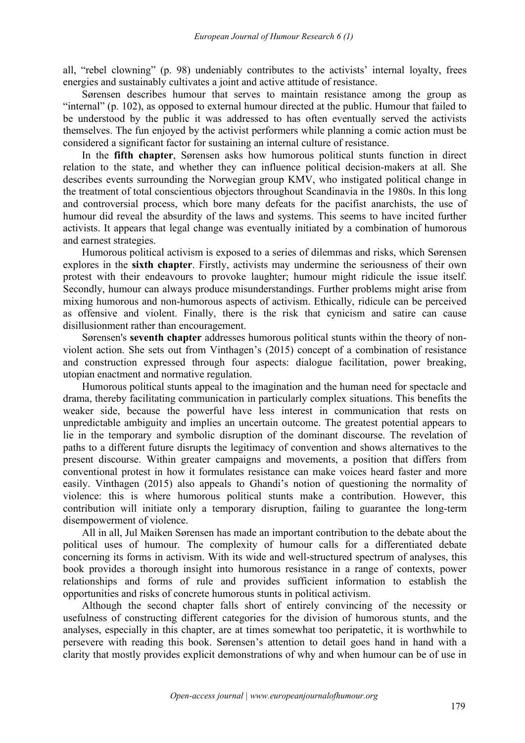all, "rebel clowning" (p. 98) undeniably contributes to the activists' internal loyalty, frees energies and sustainably cultivates a joint and active attitude of resistance.

Sørensen describes humour that serves to maintain resistance among the group as "internal" (p. 102), as opposed to external humour directed at the public. Humour that failed to be understood by the public it was addressed to has often eventually served the activists themselves. The fun enjoyed by the activist performers while planning a comic action must be considered a significant factor for sustaining an internal culture of resistance.

In the **fifth chapter**, Sørensen asks how humorous political stunts function in direct relation to the state, and whether they can influence political decision-makers at all. She describes events surrounding the Norwegian group KMV, who instigated political change in the treatment of total conscientious objectors throughout Scandinavia in the 1980s. In this long and controversial process, which bore many defeats for the pacifist anarchists, the use of humour did reveal the absurdity of the laws and systems. This seems to have incited further activists. It appears that legal change was eventually initiated by a combination of humorous and earnest strategies.

Humorous political activism is exposed to a series of dilemmas and risks, which Sørensen explores in the **sixth chapter**. Firstly, activists may undermine the seriousness of their own protest with their endeavours to provoke laughter; humour might ridicule the issue itself. Secondly, humour can always produce misunderstandings. Further problems might arise from mixing humorous and non-humorous aspects of activism. Ethically, ridicule can be perceived as offensive and violent. Finally, there is the risk that cynicism and satire can cause disillusionment rather than encouragement.

Sørensen's **seventh chapter** addresses humorous political stunts within the theory of non violent action. She sets out from Vinthagen's (2015) concept of a combination of resistance and construction expressed through four aspects: dialogue facilitation, power breaking, utopian enactment and normative regulation.

Humorous political stunts appeal to the imagination and the human need for spectacle and drama, thereby facilitating communication in particularly complex situations. This benefits the weaker side, because the powerful have less interest in communication that rests on unpredictable ambiguity and implies an uncertain outcome. The greatest potential appears to lie in the temporary and symbolic disruption of the dominant discourse. The revelation of paths to a different future disrupts the legitimacy of convention and shows alternatives to the present discourse. Within greater campaigns and movements, a position that differs from conventional protest in how it formulates resistance can make voices heard faster and more easily. Vinthagen (2015) also appeals to Ghandi's notion of questioning the normality of violence: this is where humorous political stunts make a contribution. However, this contribution will initiate only a temporary disruption, failing to guarantee the long-term disempowerment of violence.

All in all, Jul Maiken Sørensen has made an important contribution to the debate about the political uses of humour. The complexity of humour calls for a differentiated debate concerning its forms in activism. With its wide and well-structured spectrum of analyses, this book provides a thorough insight into humorous resistance in a range of contexts, power relationships and forms of rule and provides sufficient information to establish the opportunities and risks of concrete humorous stunts in political activism.

Although the second chapter falls short of entirely convincing of the necessity or usefulness of constructing different categories for the division of humorous stunts, and the analyses, especially in this chapter, are at times somewhat too peripatetic, it is worthwhile to persevere with reading this book.Sørensen's attention to detail goes hand in hand with a clarity that mostly provides explicit demonstrations of why and when humour can be of use in